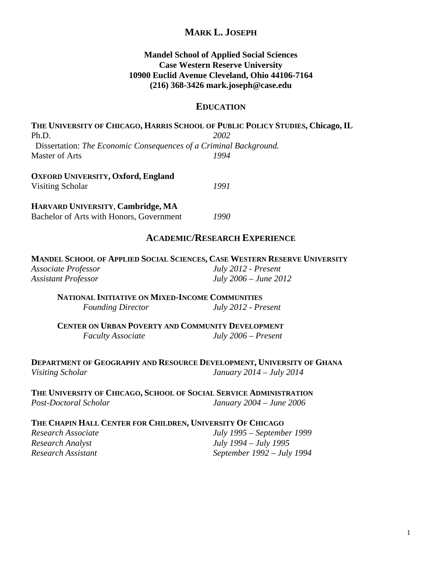## **MARK L. JOSEPH**

### **Mandel School of Applied Social Sciences Case Western Reserve University 10900 Euclid Avenue Cleveland, Ohio 44106-7164 (216) 368-3426 mark.joseph@case.edu**

#### **EDUCATION**

**THE UNIVERSITY OF CHICAGO, HARRIS SCHOOL OF PUBLIC POLICY STUDIES, Chicago, IL**  Ph.D. *2002* Dissertation: *The Economic Consequences of a Criminal Background.*  Master of Arts *1994* 

**OXFORD UNIVERSITY, Oxford, England** Visiting Scholar *1991* 

**HARVARD UNIVERSITY**, **Cambridge, MA**

Bachelor of Arts with Honors, Government *1990* 

### **ACADEMIC/RESEARCH EXPERIENCE**

**MANDEL SCHOOL OF APPLIED SOCIAL SCIENCES, CASE WESTERN RESERVE UNIVERSITY** *Associate Professor July 2012 - Present Assistant Professor July 2006 – June 2012* 

 **NATIONAL INITIATIVE ON MIXED-INCOME COMMUNITIES** *Founding Director July 2012 - Present*

**CENTER ON URBAN POVERTY AND COMMUNITY DEVELOPMENT** *Faculty Associate July 2006 – Present* 

**DEPARTMENT OF GEOGRAPHY AND RESOURCE DEVELOPMENT, UNIVERSITY OF GHANA** *Visiting Scholar January 2014 – July 2014* 

**THE UNIVERSITY OF CHICAGO, SCHOOL OF SOCIAL SERVICE ADMINISTRATION** *Post-Doctoral Scholar January 2004 – June 2006* 

#### **THE CHAPIN HALL CENTER FOR CHILDREN, UNIVERSITY OF CHICAGO**

*Research Associate July 1995 – September 1999 Research Analyst July 1994 – July 1995 Research Assistant September 1992 – July 1994*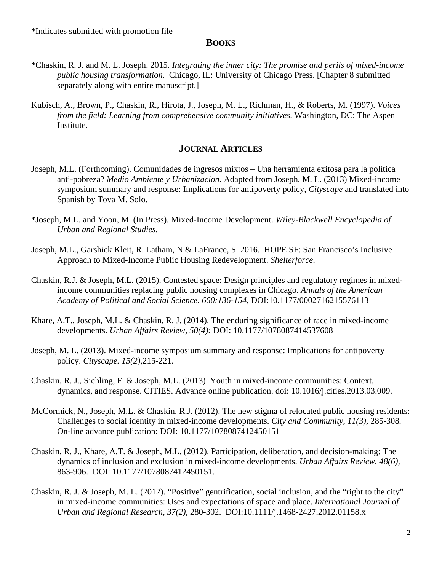#### **BOOKS**

- \*Chaskin, R. J. and M. L. Joseph. 2015. *Integrating the inner city: The promise and perils of mixed-income public housing transformation.* Chicago, IL: University of Chicago Press. [Chapter 8 submitted separately along with entire manuscript.]
- Kubisch, A., Brown, P., Chaskin, R., Hirota, J., Joseph, M. L., Richman, H., & Roberts, M. (1997). *Voices from the field: Learning from comprehensive community initiatives*. Washington, DC: The Aspen Institute.

### **JOURNAL ARTICLES**

- Joseph, M.L. (Forthcoming). Comunidades de ingresos mixtos Una herramienta exitosa para la política anti-pobreza? *Medio Ambiente y Urbanizacion.* Adapted from Joseph, M. L. (2013) Mixed-income symposium summary and response: Implications for antipoverty policy, *Cityscape* and translated into Spanish by Tova M. Solo.
- \*Joseph, M.L. and Yoon, M. (In Press). Mixed-Income Development. *Wiley-Blackwell Encyclopedia of Urban and Regional Studies*.
- Joseph, M.L., Garshick Kleit, R. Latham, N & LaFrance, S. 2016. HOPE SF: San Francisco's Inclusive Approach to Mixed-Income Public Housing Redevelopment. *Shelterforce*.
- Chaskin, R.J. & Joseph, M.L. (2015). Contested space: Design principles and regulatory regimes in mixedincome communities replacing public housing complexes in Chicago. *Annals of the American Academy of Political and Social Science. 660:136-154*, DOI:10.1177/0002716215576113
- Khare, A.T., Joseph, M.L. & Chaskin, R. J. (2014). The enduring significance of race in mixed-income developments. *Urban Affairs Review, 50(4):* DOI: 10.1177/1078087414537608
- Joseph, M. L. (2013). Mixed-income symposium summary and response: Implications for antipoverty policy. *Cityscape. 15(2),*215-221.
- Chaskin, R. J., Sichling, F. & Joseph, M.L. (2013). Youth in mixed-income communities: Context, dynamics, and response. CITIES. Advance online publication. doi: 10.1016/j.cities.2013.03.009.
- McCormick, N., Joseph, M.L. & Chaskin, R.J. (2012). The new stigma of relocated public housing residents: Challenges to social identity in mixed-income developments. *City and Community, 11(3),* 285-308*.*  On-line advance publication: DOI: 10.1177/1078087412450151
- Chaskin, R. J., Khare, A.T. & Joseph, M.L. (2012). Participation, deliberation, and decision-making: The dynamics of inclusion and exclusion in mixed-income developments. *Urban Affairs Review. 48(6),*  863-906. DOI: 10.1177/1078087412450151.
- Chaskin, R. J. & Joseph, M. L. (2012). "Positive" gentrification, social inclusion, and the "right to the city" in mixed-income communities: Uses and expectations of space and place. *International Journal of Urban and Regional Research, 37(2),* 280-302.DOI:10.1111/j.1468-2427.2012.01158.x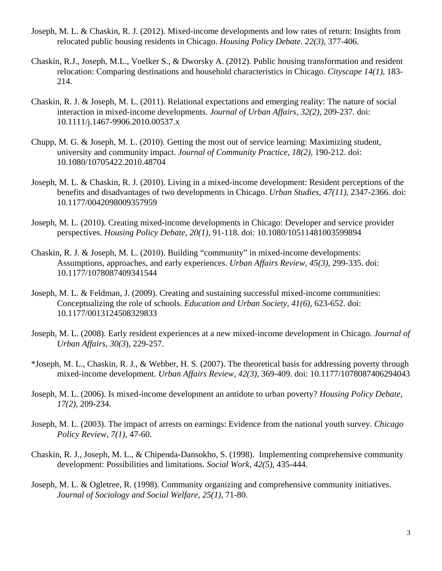- Joseph, M. L. & Chaskin, R. J. (2012). Mixed-income developments and low rates of return: Insights from relocated public housing residents in Chicago. *Housing Policy Debate. 22(3),* 377-406.
- Chaskin, R.J., Joseph, M.L., Voelker S., & Dworsky A. (2012). Public housing transformation and resident relocation: Comparing destinations and household characteristics in Chicago. *Cityscape 14(1)*, 183- 214.
- Chaskin, R. J. & Joseph, M. L. (2011). Relational expectations and emerging reality: The nature of social interaction in mixed-income developments. *Journal of Urban Affairs, 32(2),* 209-237*.* doi: 10.1111/j.1467-9906.2010.00537.x
- Chupp, M. G. & Joseph, M. L. (2010). Getting the most out of service learning: Maximizing student, university and community impact. *Journal of Community Practice, 18(2),* 190-212. doi: 10.1080/10705422.2010.48704
- Joseph, M. L. & Chaskin, R. J. (2010). Living in a mixed-income development: Resident perceptions of the benefits and disadvantages of two developments in Chicago. *Urban Studies, 47(11),* 2347-2366. doi: 10.1177/0042098009357959
- Joseph, M. L. (2010). Creating mixed-income developments in Chicago: Developer and service provider perspectives. *Housing Policy Debate, 20(1),* 91-118*.* doi: 10.1080/10511481003599894
- Chaskin, R. J. & Joseph, M. L. (2010). Building "community" in mixed-income developments: Assumptions, approaches, and early experiences. *Urban Affairs Review, 45(3),* 299-335. doi: 10.1177/1078087409341544
- Joseph, M. L. & Feldman, J. (2009). Creating and sustaining successful mixed-income communities: Conceptualizing the role of schools. *Education and Urban Society, 41(6),* 623-652. doi: 10.1177/0013124508329833
- Joseph, M. L. (2008). Early resident experiences at a new mixed-income development in Chicago. *Journal of Urban Affairs, 30(3*), 229-257*.*
- \*Joseph, M. L., Chaskin, R. J., & Webber, H. S. (2007). The theoretical basis for addressing poverty through mixed-income development. *Urban Affairs Review, 42(3),* 369-409. doi: 10.1177/1078087406294043
- Joseph, M. L. (2006). Is mixed-income development an antidote to urban poverty? *Housing Policy Debate, 17(2),* 209-234.
- Joseph, M. L. (2003). The impact of arrests on earnings: Evidence from the national youth survey. *Chicago Policy Review*, *7(1),* 47-60.
- Chaskin, R. J., Joseph, M. L., & Chipenda-Dansokho, S. (1998). Implementing comprehensive community development: Possibilities and limitations. *Social Work*, *42(5),* 435-444.
- Joseph, M. L. & Ogletree, R. (1998). Community organizing and comprehensive community initiatives. *Journal of Sociology and Social Welfare, 25(1),* 71-80.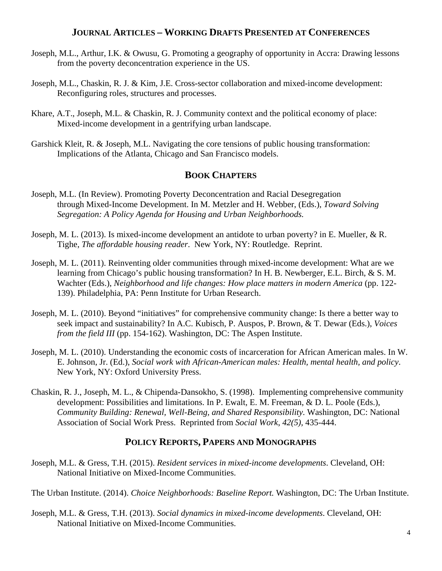## **JOURNAL ARTICLES – WORKING DRAFTS PRESENTED AT CONFERENCES**

- Joseph, M.L., Arthur, I.K. & Owusu, G. Promoting a geography of opportunity in Accra: Drawing lessons from the poverty deconcentration experience in the US.
- Joseph, M.L., Chaskin, R. J. & Kim, J.E. Cross-sector collaboration and mixed-income development: Reconfiguring roles, structures and processes.
- Khare, A.T., Joseph, M.L. & Chaskin, R. J. Community context and the political economy of place: Mixed-income development in a gentrifying urban landscape.
- Garshick Kleit, R. & Joseph, M.L. Navigating the core tensions of public housing transformation: Implications of the Atlanta, Chicago and San Francisco models.

## **BOOK CHAPTERS**

- Joseph, M.L. (In Review). Promoting Poverty Deconcentration and Racial Desegregation through Mixed-Income Development. In M. Metzler and H. Webber, (Eds.), *Toward Solving Segregation: A Policy Agenda for Housing and Urban Neighborhoods.*
- Joseph, M. L. (2013). Is mixed-income development an antidote to urban poverty? in E. Mueller, & R. Tighe, *The affordable housing reader*. New York, NY: Routledge. Reprint.
- Joseph, M. L. (2011). Reinventing older communities through mixed-income development: What are we learning from Chicago's public housing transformation? In H. B. Newberger, E.L. Birch, & S. M. Wachter (Eds.), *Neighborhood and life changes: How place matters in modern America* (pp. 122- 139). Philadelphia, PA: Penn Institute for Urban Research.
- Joseph, M. L. (2010). Beyond "initiatives" for comprehensive community change: Is there a better way to seek impact and sustainability? In A.C. Kubisch, P. Auspos, P. Brown, & T. Dewar (Eds.), *Voices from the field III* (pp. 154-162). Washington, DC: The Aspen Institute.
- Joseph, M. L. (2010). Understanding the economic costs of incarceration for African American males. In W. E. Johnson, Jr. (Ed.), *Social work with African-American males: Health, mental health, and policy*. New York, NY: Oxford University Press.
- Chaskin, R. J., Joseph, M. L., & Chipenda-Dansokho, S. (1998). Implementing comprehensive community development: Possibilities and limitations. In P. Ewalt, E. M. Freeman, & D. L. Poole (Eds.), *Community Building: Renewal, Well-Being, and Shared Responsibility*. Washington, DC: National Association of Social Work Press. Reprinted from *Social Work*, *42(5),* 435-444.

## **POLICY REPORTS, PAPERS AND MONOGRAPHS**

Joseph, M.L. & Gress, T.H. (2015). *Resident services in mixed-income developments*. Cleveland, OH: National Initiative on Mixed-Income Communities.

The Urban Institute. (2014). *Choice Neighborhoods: Baseline Report.* Washington, DC: The Urban Institute.

Joseph, M.L. & Gress, T.H. (2013). *Social dynamics in mixed-income developments*. Cleveland, OH: National Initiative on Mixed-Income Communities.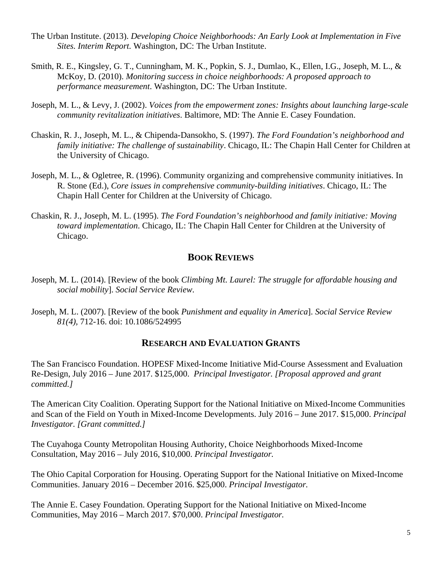- The Urban Institute. (2013). *Developing Choice Neighborhoods: An Early Look at Implementation in Five Sites. Interim Report.* Washington, DC: The Urban Institute.
- Smith, R. E., Kingsley, G. T., Cunningham, M. K., Popkin, S. J., Dumlao, K., Ellen, I.G., Joseph, M. L., & McKoy, D. (2010). *Monitoring success in choice neighborhoods: A proposed approach to performance measurement*. Washington, DC: The Urban Institute.
- Joseph, M. L., & Levy, J. (2002). *Voices from the empowerment zones: Insights about launching large-scale community revitalization initiatives*. Baltimore, MD: The Annie E. Casey Foundation.
- Chaskin, R. J., Joseph, M. L., & Chipenda-Dansokho, S. (1997). *The Ford Foundation's neighborhood and family initiative: The challenge of sustainability*. Chicago, IL: The Chapin Hall Center for Children at the University of Chicago.
- Joseph, M. L., & Ogletree, R. (1996). Community organizing and comprehensive community initiatives. In R. Stone (Ed.), *Core issues in comprehensive community-building initiatives*. Chicago, IL: The Chapin Hall Center for Children at the University of Chicago.
- Chaskin, R. J., Joseph, M. L. (1995). *The Ford Foundation's neighborhood and family initiative: Moving toward implementation*. Chicago, IL: The Chapin Hall Center for Children at the University of Chicago.

# **BOOK REVIEWS**

- Joseph, M. L. (2014). [Review of the book *Climbing Mt. Laurel: The struggle for affordable housing and social mobility*]. *Social Service Review*.
- Joseph, M. L. (2007). [Review of the book *Punishment and equality in America*]. *Social Service Review 81(4),* 712-16. doi: 10.1086/524995

## **RESEARCH AND EVALUATION GRANTS**

The San Francisco Foundation. HOPESF Mixed-Income Initiative Mid-Course Assessment and Evaluation Re-Design, July 2016 – June 2017. \$125,000. *Principal Investigator. [Proposal approved and grant committed.]* 

The American City Coalition. Operating Support for the National Initiative on Mixed-Income Communities and Scan of the Field on Youth in Mixed-Income Developments. July 2016 – June 2017. \$15,000. *Principal Investigator. [Grant committed.]* 

The Cuyahoga County Metropolitan Housing Authority, Choice Neighborhoods Mixed-Income Consultation, May 2016 – July 2016, \$10,000. *Principal Investigator.* 

The Ohio Capital Corporation for Housing. Operating Support for the National Initiative on Mixed-Income Communities. January 2016 – December 2016. \$25,000. *Principal Investigator.*

The Annie E. Casey Foundation. Operating Support for the National Initiative on Mixed-Income Communities, May 2016 – March 2017. \$70,000. *Principal Investigator.*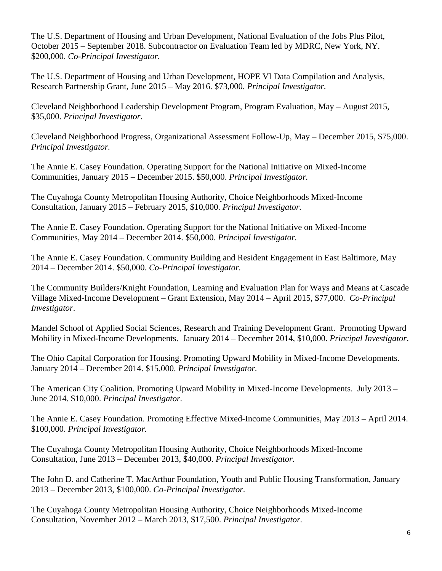The U.S. Department of Housing and Urban Development, National Evaluation of the Jobs Plus Pilot, October 2015 – September 2018. Subcontractor on Evaluation Team led by MDRC, New York, NY. \$200,000. *Co-Principal Investigator.* 

The U.S. Department of Housing and Urban Development, HOPE VI Data Compilation and Analysis, Research Partnership Grant, June 2015 – May 2016. \$73,000. *Principal Investigator.* 

Cleveland Neighborhood Leadership Development Program, Program Evaluation, May – August 2015, \$35,000. *Principal Investigator.*

Cleveland Neighborhood Progress, Organizational Assessment Follow-Up, May – December 2015, \$75,000. *Principal Investigator.*

The Annie E. Casey Foundation. Operating Support for the National Initiative on Mixed-Income Communities, January 2015 – December 2015. \$50,000. *Principal Investigator.* 

The Cuyahoga County Metropolitan Housing Authority, Choice Neighborhoods Mixed-Income Consultation, January 2015 – February 2015, \$10,000. *Principal Investigator.* 

The Annie E. Casey Foundation. Operating Support for the National Initiative on Mixed-Income Communities, May 2014 – December 2014. \$50,000. *Principal Investigator.* 

The Annie E. Casey Foundation. Community Building and Resident Engagement in East Baltimore, May 2014 – December 2014. \$50,000. *Co-Principal Investigator.* 

The Community Builders/Knight Foundation, Learning and Evaluation Plan for Ways and Means at Cascade Village Mixed-Income Development – Grant Extension, May 2014 – April 2015, \$77,000. *Co-Principal Investigator*.

Mandel School of Applied Social Sciences, Research and Training Development Grant. Promoting Upward Mobility in Mixed-Income Developments. January 2014 – December 2014, \$10,000. *Principal Investigator*.

The Ohio Capital Corporation for Housing. Promoting Upward Mobility in Mixed-Income Developments. January 2014 – December 2014. \$15,000. *Principal Investigator.*

The American City Coalition. Promoting Upward Mobility in Mixed-Income Developments. July 2013 – June 2014. \$10,000. *Principal Investigator.* 

The Annie E. Casey Foundation. Promoting Effective Mixed-Income Communities, May 2013 – April 2014. \$100,000. *Principal Investigator.* 

The Cuyahoga County Metropolitan Housing Authority, Choice Neighborhoods Mixed-Income Consultation, June 2013 – December 2013, \$40,000. *Principal Investigator.* 

The John D. and Catherine T. MacArthur Foundation, Youth and Public Housing Transformation, January 2013 – December 2013, \$100,000. *Co-Principal Investigator.* 

The Cuyahoga County Metropolitan Housing Authority, Choice Neighborhoods Mixed-Income Consultation, November 2012 – March 2013, \$17,500. *Principal Investigator.*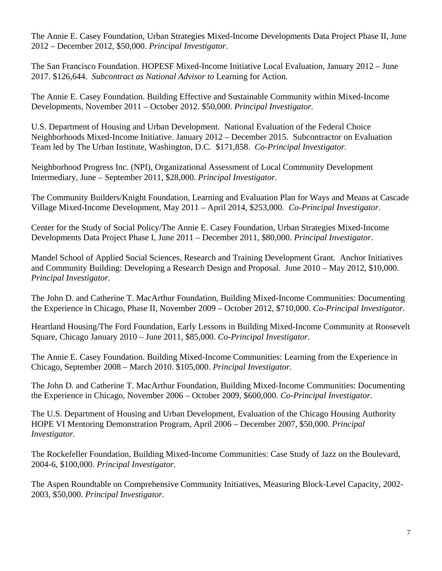The Annie E. Casey Foundation, Urban Strategies Mixed-Income Developments Data Project Phase II, June 2012 – December 2012, \$50,000. *Principal Investigator*.

The San Francisco Foundation. HOPESF Mixed-Income Initiative Local Evaluation, January 2012 – June 2017. \$126,644. *Subcontract as National Advisor to* Learning for Action*.* 

The Annie E. Casey Foundation. Building Effective and Sustainable Community within Mixed-Income Developments, November 2011 – October 2012. \$50,000. *Principal Investigator.* 

U.S. Department of Housing and Urban Development. National Evaluation of the Federal Choice Neighborhoods Mixed-Income Initiative. January 2012 – December 2015. Subcontractor on Evaluation Team led by The Urban Institute, Washington, D.C*.* \$171,858. *Co-Principal Investigator.*

Neighborhood Progress Inc. (NPI), Organizational Assessment of Local Community Development Intermediary, June – September 2011, \$28,000. *Principal Investigator.*

The Community Builders/Knight Foundation, Learning and Evaluation Plan for Ways and Means at Cascade Village Mixed-Income Development, May 2011 – April 2014, \$253,000. *Co-Principal Investigator*.

Center for the Study of Social Policy/The Annie E. Casey Foundation, Urban Strategies Mixed-Income Developments Data Project Phase I, June 2011 – December 2011, \$80,000. *Principal Investigator*.

Mandel School of Applied Social Sciences, Research and Training Development Grant. Anchor Initiatives and Community Building: Developing a Research Design and Proposal. June 2010 – May 2012, \$10,000. *Principal Investigator*.

The John D. and Catherine T. MacArthur Foundation, Building Mixed-Income Communities: Documenting the Experience in Chicago, Phase II, November 2009 – October 2012, \$710,000. *Co-Principal Investigator.* 

Heartland Housing/The Ford Foundation, Early Lessons in Building Mixed-Income Community at Roosevelt Square, Chicago January 2010 – June 2011, \$85,000. *Co-Principal Investigator.* 

The Annie E. Casey Foundation. Building Mixed-Income Communities: Learning from the Experience in Chicago, September 2008 – March 2010. \$105,000. *Principal Investigator.* 

The John D. and Catherine T. MacArthur Foundation, Building Mixed-Income Communities: Documenting the Experience in Chicago, November 2006 – October 2009, \$600,000. *Co-Principal Investigator.*

The U.S. Department of Housing and Urban Development, Evaluation of the Chicago Housing Authority HOPE VI Mentoring Demonstration Program, April 2006 – December 2007, \$50,000. *Principal Investigator.*

The Rockefeller Foundation, Building Mixed-Income Communities: Case Study of Jazz on the Boulevard, 2004-6, \$100,000. *Principal Investigator.*

The Aspen Roundtable on Comprehensive Community Initiatives, Measuring Block-Level Capacity, 2002- 2003, \$50,000. *Principal Investigator.*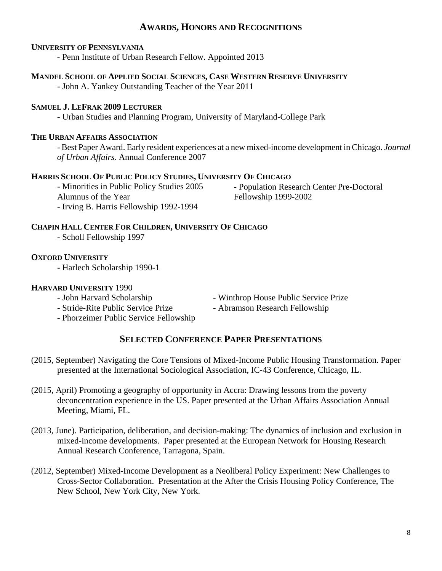## **AWARDS, HONORS AND RECOGNITIONS**

#### **UNIVERSITY OF PENNSYLVANIA**

- Penn Institute of Urban Research Fellow. Appointed 2013

#### **MANDEL SCHOOL OF APPLIED SOCIAL SCIENCES, CASE WESTERN RESERVE UNIVERSITY**

- John A. Yankey Outstanding Teacher of the Year 2011

#### **SAMUEL J. LEFRAK 2009 LECTURER**

- Urban Studies and Planning Program, University of Maryland-College Park

#### **THE URBAN AFFAIRS ASSOCIATION**

- Best Paper Award. Early resident experiences at a new mixed-income development in Chicago. *Journal of Urban Affairs.* Annual Conference 2007

#### **HARRIS SCHOOL OF PUBLIC POLICY STUDIES, UNIVERSITY OF CHICAGO**

- Minorities in Public Policy Studies 2005 Alumnus of the Year - Irving B. Harris Fellowship 1992-1994

**-** Population Research Center Pre-Doctoral Fellowship 1999-2002

### **CHAPIN HALL CENTER FOR CHILDREN, UNIVERSITY OF CHICAGO**

- Scholl Fellowship 1997

#### **OXFORD UNIVERSITY**

 **-** Harlech Scholarship 1990-1

#### **HARVARD UNIVERSITY** 1990

- 
- Stride-Rite Public Service Prize Abramson Research Fellowship
- Phorzeimer Public Service Fellowship
- John Harvard Scholarship Winthrop House Public Service Prize

# **SELECTED CONFERENCE PAPER PRESENTATIONS**

- (2015, September) Navigating the Core Tensions of Mixed-Income Public Housing Transformation. Paper presented at the International Sociological Association, IC-43 Conference, Chicago, IL.
- (2015, April) Promoting a geography of opportunity in Accra: Drawing lessons from the poverty deconcentration experience in the US. Paper presented at the Urban Affairs Association Annual Meeting, Miami, FL.
- (2013, June). Participation, deliberation, and decision-making: The dynamics of inclusion and exclusion in mixed-income developments. Paper presented at the European Network for Housing Research Annual Research Conference, Tarragona, Spain.
- (2012, September) Mixed-Income Development as a Neoliberal Policy Experiment: New Challenges to Cross-Sector Collaboration. Presentation at the After the Crisis Housing Policy Conference, The New School, New York City, New York.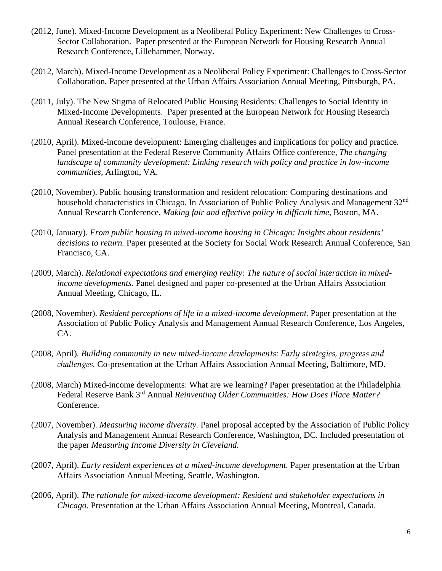- (2012, June). Mixed-Income Development as a Neoliberal Policy Experiment: New Challenges to Cross-Sector Collaboration. Paper presented at the European Network for Housing Research Annual Research Conference, Lillehammer, Norway.
- (2012, March). Mixed-Income Development as a Neoliberal Policy Experiment: Challenges to Cross-Sector Collaboration*.* Paper presented at the Urban Affairs Association Annual Meeting, Pittsburgh, PA.
- (2011, July). The New Stigma of Relocated Public Housing Residents: Challenges to Social Identity in Mixed-Income Developments. Paper presented at the European Network for Housing Research Annual Research Conference, Toulouse, France.
- (2010, April). Mixed-income development: Emerging challenges and implications for policy and practice*.* Panel presentation at the Federal Reserve Community Affairs Office conference, *The changing landscape of community development: Linking research with policy and practice in low-income communities,* Arlington, VA.
- (2010, November). Public housing transformation and resident relocation: Comparing destinations and household characteristics in Chicago*.* In Association of Public Policy Analysis and Management 32nd Annual Research Conference, *Making fair and effective policy in difficult time*, Boston, MA.
- (2010, January). *From public housing to mixed-income housing in Chicago: Insights about residents' decisions to return.* Paper presented at the Society for Social Work Research Annual Conference, San Francisco, CA.
- (2009, March). *Relational expectations and emerging reality: The nature of social interaction in mixedincome developments.* Panel designed and paper co-presented at the Urban Affairs Association Annual Meeting, Chicago, IL.
- (2008, November). *Resident perceptions of life in a mixed-income development.* Paper presentation at the Association of Public Policy Analysis and Management Annual Research Conference, Los Angeles, CA.
- (2008, April)*. Building community in new mixed-income developments: Early strategies, progress and challenges.* Co-presentation at the Urban Affairs Association Annual Meeting, Baltimore, MD.
- (2008, March) Mixed-income developments: What are we learning? Paper presentation at the Philadelphia Federal Reserve Bank 3rd Annual *Reinventing Older Communities: How Does Place Matter?*  Conference.
- (2007, November). *Measuring income diversity.* Panel proposal accepted by the Association of Public Policy Analysis and Management Annual Research Conference, Washington, DC. Included presentation of the paper *Measuring Income Diversity in Cleveland.*
- (2007, April). *Early resident experiences at a mixed-income development.* Paper presentation at the Urban Affairs Association Annual Meeting, Seattle, Washington.
- (2006, April). *The rationale for mixed-income development: Resident and stakeholder expectations in Chicago.* Presentation at the Urban Affairs Association Annual Meeting, Montreal, Canada.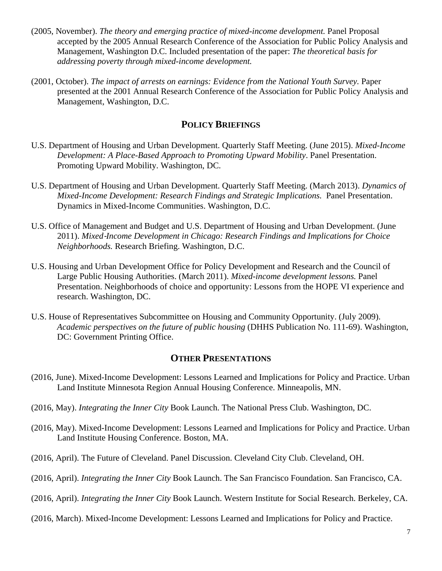- (2005, November). *The theory and emerging practice of mixed-income development.* Panel Proposal accepted by the 2005 Annual Research Conference of the Association for Public Policy Analysis and Management, Washington D.C. Included presentation of the paper: *The theoretical basis for addressing poverty through mixed-income development.*
- (2001, October). *The impact of arrests on earnings: Evidence from the National Youth Survey.* Paper presented at the 2001 Annual Research Conference of the Association for Public Policy Analysis and Management, Washington, D.C.

## **POLICY BRIEFINGS**

- U.S. Department of Housing and Urban Development. Quarterly Staff Meeting. (June 2015). *Mixed-Income Development: A Place-Based Approach to Promoting Upward Mobility*. Panel Presentation. Promoting Upward Mobility. Washington, DC.
- U.S. Department of Housing and Urban Development. Quarterly Staff Meeting. (March 2013). *Dynamics of Mixed-Income Development: Research Findings and Strategic Implications.* Panel Presentation. Dynamics in Mixed-Income Communities. Washington, D.C.
- U.S. Office of Management and Budget and U.S. Department of Housing and Urban Development. (June 2011). *Mixed*‐*Income Development in Chicago: Research Findings and Implications for Choice Neighborhoods.* Research Briefing. Washington, D.C.
- U.S. Housing and Urban Development Office for Policy Development and Research and the Council of Large Public Housing Authorities. (March 2011). *Mixed-income development lessons.* Panel Presentation. Neighborhoods of choice and opportunity: Lessons from the HOPE VI experience and research. Washington, DC.
- U.S. House of Representatives Subcommittee on Housing and Community Opportunity. (July 2009). *Academic perspectives on the future of public housing* (DHHS Publication No. 111-69). Washington, DC: Government Printing Office.

## **OTHER PRESENTATIONS**

- (2016, June). Mixed-Income Development: Lessons Learned and Implications for Policy and Practice. Urban Land Institute Minnesota Region Annual Housing Conference. Minneapolis, MN.
- (2016, May). *Integrating the Inner City* Book Launch. The National Press Club. Washington, DC.
- (2016, May). Mixed-Income Development: Lessons Learned and Implications for Policy and Practice. Urban Land Institute Housing Conference. Boston, MA.
- (2016, April). The Future of Cleveland. Panel Discussion. Cleveland City Club. Cleveland, OH.
- (2016, April). *Integrating the Inner City* Book Launch. The San Francisco Foundation. San Francisco, CA.
- (2016, April). *Integrating the Inner City* Book Launch. Western Institute for Social Research. Berkeley, CA.
- (2016, March). Mixed-Income Development: Lessons Learned and Implications for Policy and Practice.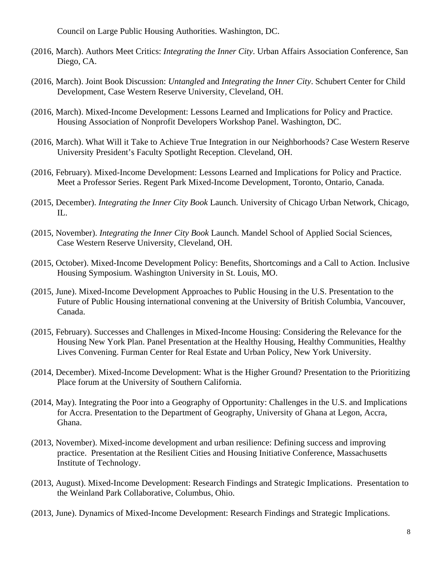Council on Large Public Housing Authorities. Washington, DC.

- (2016, March). Authors Meet Critics: *Integrating the Inner City*. Urban Affairs Association Conference, San Diego, CA.
- (2016, March). Joint Book Discussion: *Untangled* and *Integrating the Inner City*. Schubert Center for Child Development, Case Western Reserve University, Cleveland, OH.
- (2016, March). Mixed-Income Development: Lessons Learned and Implications for Policy and Practice. Housing Association of Nonprofit Developers Workshop Panel. Washington, DC.
- (2016, March). What Will it Take to Achieve True Integration in our Neighborhoods? Case Western Reserve University President's Faculty Spotlight Reception. Cleveland, OH.
- (2016, February). Mixed-Income Development: Lessons Learned and Implications for Policy and Practice. Meet a Professor Series. Regent Park Mixed-Income Development, Toronto, Ontario, Canada.
- (2015, December). *Integrating the Inner City Book* Launch. University of Chicago Urban Network, Chicago, IL.
- (2015, November). *Integrating the Inner City Book* Launch. Mandel School of Applied Social Sciences, Case Western Reserve University, Cleveland, OH.
- (2015, October). Mixed-Income Development Policy: Benefits, Shortcomings and a Call to Action. Inclusive Housing Symposium. Washington University in St. Louis, MO.
- (2015, June). Mixed-Income Development Approaches to Public Housing in the U.S. Presentation to the Future of Public Housing international convening at the University of British Columbia, Vancouver, Canada.
- (2015, February). Successes and Challenges in Mixed-Income Housing: Considering the Relevance for the Housing New York Plan. Panel Presentation at the Healthy Housing, Healthy Communities, Healthy Lives Convening. Furman Center for Real Estate and Urban Policy, New York University.
- (2014, December). Mixed-Income Development: What is the Higher Ground? Presentation to the Prioritizing Place forum at the University of Southern California.
- (2014, May). Integrating the Poor into a Geography of Opportunity: Challenges in the U.S. and Implications for Accra. Presentation to the Department of Geography, University of Ghana at Legon, Accra, Ghana.
- (2013, November). Mixed-income development and urban resilience: Defining success and improving practice. Presentation at the Resilient Cities and Housing Initiative Conference, Massachusetts Institute of Technology.
- (2013, August). Mixed-Income Development: Research Findings and Strategic Implications. Presentation to the Weinland Park Collaborative, Columbus, Ohio.
- (2013, June). Dynamics of Mixed-Income Development: Research Findings and Strategic Implications.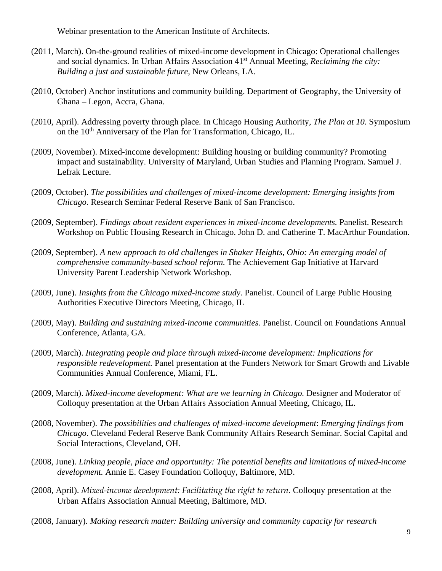Webinar presentation to the American Institute of Architects.

- (2011, March). On-the-ground realities of mixed-income development in Chicago: Operational challenges and social dynamics*.* In Urban Affairs Association 41st Annual Meeting, *Reclaiming the city: Building a just and sustainable future,* New Orleans, LA.
- (2010, October) Anchor institutions and community building. Department of Geography, the University of Ghana – Legon, Accra, Ghana.
- (2010, April). Addressing poverty through place*.* In Chicago Housing Authority, *The Plan at 10.* Symposium on the 10th Anniversary of the Plan for Transformation, Chicago, IL.
- (2009, November). Mixed-income development: Building housing or building community? Promoting impact and sustainability. University of Maryland, Urban Studies and Planning Program. Samuel J. Lefrak Lecture.
- (2009, October). *The possibilities and challenges of mixed-income development: Emerging insights from Chicago.* Research Seminar Federal Reserve Bank of San Francisco.
- (2009, September). *Findings about resident experiences in mixed-income developments.* Panelist. Research Workshop on Public Housing Research in Chicago. John D. and Catherine T. MacArthur Foundation.
- (2009, September). *A new approach to old challenges in Shaker Heights, Ohio: An emerging model of comprehensive community-based school reform.* The Achievement Gap Initiative at Harvard University Parent Leadership Network Workshop.
- (2009, June). *Insights from the Chicago mixed-income study.* Panelist. Council of Large Public Housing Authorities Executive Directors Meeting, Chicago, IL
- (2009, May). *Building and sustaining mixed-income communities.* Panelist. Council on Foundations Annual Conference, Atlanta, GA.
- (2009, March). *Integrating people and place through mixed-income development: Implications for responsible redevelopment.* Panel presentation at the Funders Network for Smart Growth and Livable Communities Annual Conference, Miami, FL.
- (2009, March). *Mixed-income development: What are we learning in Chicago.* Designer and Moderator of Colloquy presentation at the Urban Affairs Association Annual Meeting, Chicago, IL.
- (2008, November). *The possibilities and challenges of mixed-income development*: *Emerging findings from Chicago*. Cleveland Federal Reserve Bank Community Affairs Research Seminar. Social Capital and Social Interactions, Cleveland, OH.
- (2008, June). *Linking people, place and opportunity: The potential benefits and limitations of mixed-income development.* Annie E. Casey Foundation Colloquy, Baltimore, MD.
- (2008, April). *Mixed-income development: Facilitating the right to return.* Colloquy presentation at the Urban Affairs Association Annual Meeting, Baltimore, MD.
- (2008, January). *Making research matter: Building university and community capacity for research*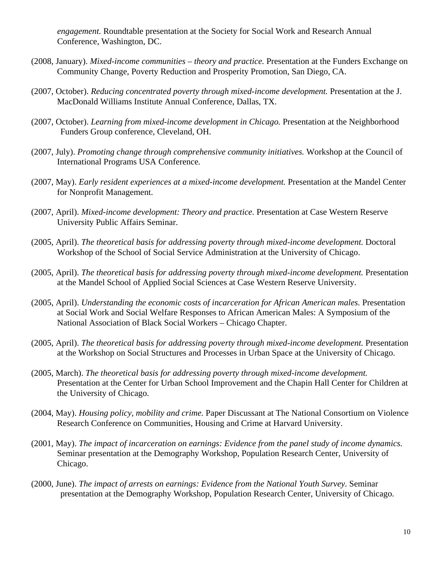*engagement.* Roundtable presentation at the Society for Social Work and Research Annual Conference, Washington, DC.

- (2008, January). *Mixed-income communities theory and practice.* Presentation at the Funders Exchange on Community Change, Poverty Reduction and Prosperity Promotion, San Diego, CA.
- (2007, October). *Reducing concentrated poverty through mixed-income development.* Presentation at the J. MacDonald Williams Institute Annual Conference, Dallas, TX.
- (2007, October). *Learning from mixed-income development in Chicago.* Presentation at the Neighborhood Funders Group conference, Cleveland, OH.
- (2007, July). *Promoting change through comprehensive community initiatives.* Workshop at the Council of International Programs USA Conference*.*
- (2007, May). *Early resident experiences at a mixed-income development.* Presentation at the Mandel Center for Nonprofit Management.
- (2007, April). *Mixed-income development: Theory and practice.* Presentation at Case Western Reserve University Public Affairs Seminar.
- (2005, April). *The theoretical basis for addressing poverty through mixed-income development.* Doctoral Workshop of the School of Social Service Administration at the University of Chicago.
- (2005, April). *The theoretical basis for addressing poverty through mixed-income development.* Presentation at the Mandel School of Applied Social Sciences at Case Western Reserve University.
- (2005, April). *Understanding the economic costs of incarceration for African American males.* Presentation at Social Work and Social Welfare Responses to African American Males: A Symposium of the National Association of Black Social Workers – Chicago Chapter.
- (2005, April). *The theoretical basis for addressing poverty through mixed-income development.* Presentation at the Workshop on Social Structures and Processes in Urban Space at the University of Chicago.
- (2005, March). *The theoretical basis for addressing poverty through mixed-income development.*  Presentation at the Center for Urban School Improvement and the Chapin Hall Center for Children at the University of Chicago.
- (2004, May). *Housing policy, mobility and crime.* Paper Discussant at The National Consortium on Violence Research Conference on Communities, Housing and Crime at Harvard University.
- (2001, May). *The impact of incarceration on earnings: Evidence from the panel study of income dynamics.* Seminar presentation at the Demography Workshop, Population Research Center, University of Chicago.
- (2000, June). *The impact of arrests on earnings: Evidence from the National Youth Survey.* Seminar presentation at the Demography Workshop, Population Research Center, University of Chicago.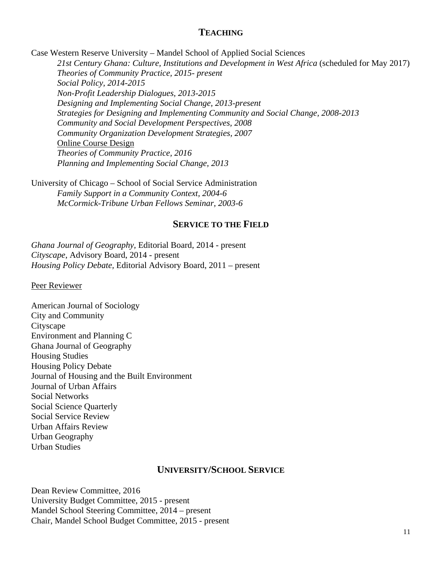## **TEACHING**

Case Western Reserve University – Mandel School of Applied Social Sciences

21st Century Ghana: Culture, Institutions and Development in West Africa (scheduled for May 2017) *Theories of Community Practice, 2015- present Social Policy, 2014-2015 Non-Profit Leadership Dialogues, 2013-2015 Designing and Implementing Social Change, 2013-present Strategies for Designing and Implementing Community and Social Change, 2008-2013 Community and Social Development Perspectives, 2008 Community Organization Development Strategies, 2007*  Online Course Design *Theories of Community Practice, 2016 Planning and Implementing Social Change, 2013* 

University of Chicago – School of Social Service Administration  *Family Support in a Community Context, 2004-6 McCormick-Tribune Urban Fellows Seminar, 2003-6* 

## **SERVICE TO THE FIELD**

*Ghana Journal of Geography,* Editorial Board, 2014 - present *Cityscape*, Advisory Board, 2014 - present *Housing Policy Debate,* Editorial Advisory Board, 2011 – present

#### Peer Reviewer

American Journal of Sociology City and Community **Cityscape** Environment and Planning C Ghana Journal of Geography Housing Studies Housing Policy Debate Journal of Housing and the Built Environment Journal of Urban Affairs Social Networks Social Science Quarterly Social Service Review Urban Affairs Review Urban Geography Urban Studies

## **UNIVERSITY/SCHOOL SERVICE**

Dean Review Committee, 2016 University Budget Committee, 2015 - present Mandel School Steering Committee, 2014 – present Chair, Mandel School Budget Committee, 2015 - present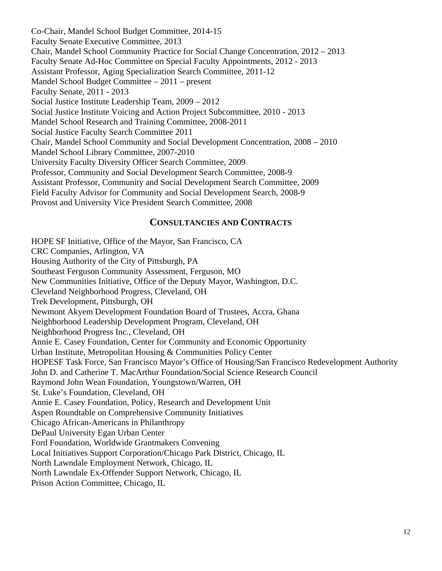Co-Chair, Mandel School Budget Committee, 2014-15 Faculty Senate Executive Committee, 2013 Chair, Mandel School Community Practice for Social Change Concentration, 2012 – 2013 Faculty Senate Ad-Hoc Committee on Special Faculty Appointments, 2012 - 2013 Assistant Professor, Aging Specialization Search Committee, 2011-12 Mandel School Budget Committee – 2011 – present Faculty Senate, 2011 - 2013 Social Justice Institute Leadership Team, 2009 – 2012 Social Justice Institute Voicing and Action Project Subcommittee, 2010 - 2013 Mandel School Research and Training Committee, 2008-2011 Social Justice Faculty Search Committee 2011 Chair, Mandel School Community and Social Development Concentration, 2008 – 2010 Mandel School Library Committee, 2007-2010 University Faculty Diversity Officer Search Committee, 2009 Professor, Community and Social Development Search Committee, 2008-9 Assistant Professor, Community and Social Development Search Committee, 2009 Field Faculty Advisor for Community and Social Development Search, 2008-9 Provost and University Vice President Search Committee, 2008

### **CONSULTANCIES AND CONTRACTS**

HOPE SF Initiative, Office of the Mayor, San Francisco, CA CRC Companies, Arlington, VA Housing Authority of the City of Pittsburgh, PA Southeast Ferguson Community Assessment, Ferguson, MO New Communities Initiative, Office of the Deputy Mayor, Washington, D.C. Cleveland Neighborhood Progress, Cleveland, OH Trek Development, Pittsburgh, OH Newmont Akyem Development Foundation Board of Trustees, Accra, Ghana Neighborhood Leadership Development Program, Cleveland, OH Neighborhood Progress Inc., Cleveland, OH Annie E. Casey Foundation, Center for Community and Economic Opportunity Urban Institute, Metropolitan Housing & Communities Policy Center HOPESF Task Force, San Francisco Mayor's Office of Housing/San Francisco Redevelopment Authority John D. and Catherine T. MacArthur Foundation/Social Science Research Council Raymond John Wean Foundation, Youngstown/Warren, OH St. Luke's Foundation, Cleveland, OH Annie E. Casey Foundation, Policy, Research and Development Unit Aspen Roundtable on Comprehensive Community Initiatives Chicago African-Americans in Philanthropy DePaul University Egan Urban Center Ford Foundation, Worldwide Grantmakers Convening Local Initiatives Support Corporation/Chicago Park District, Chicago, IL North Lawndale Employment Network, Chicago, IL North Lawndale Ex-Offender Support Network, Chicago, IL Prison Action Committee, Chicago, IL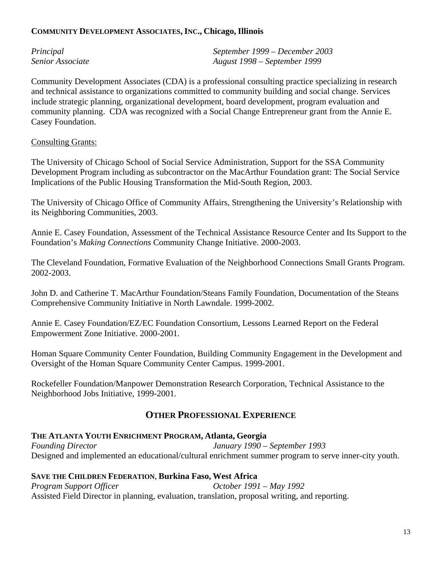### **COMMUNITY DEVELOPMENT ASSOCIATES, INC., Chicago, Illinois**

| Principal        | September 1999 – December 2003 |
|------------------|--------------------------------|
| Senior Associate | August 1998 – September 1999   |

Community Development Associates (CDA) is a professional consulting practice specializing in research and technical assistance to organizations committed to community building and social change. Services include strategic planning, organizational development, board development, program evaluation and community planning. CDA was recognized with a Social Change Entrepreneur grant from the Annie E. Casey Foundation.

## Consulting Grants:

The University of Chicago School of Social Service Administration, Support for the SSA Community Development Program including as subcontractor on the MacArthur Foundation grant: The Social Service Implications of the Public Housing Transformation the Mid-South Region, 2003.

The University of Chicago Office of Community Affairs, Strengthening the University's Relationship with its Neighboring Communities, 2003.

Annie E. Casey Foundation, Assessment of the Technical Assistance Resource Center and Its Support to the Foundation's *Making Connections* Community Change Initiative. 2000-2003.

The Cleveland Foundation, Formative Evaluation of the Neighborhood Connections Small Grants Program. 2002-2003.

John D. and Catherine T. MacArthur Foundation/Steans Family Foundation, Documentation of the Steans Comprehensive Community Initiative in North Lawndale. 1999-2002.

Annie E. Casey Foundation/EZ/EC Foundation Consortium, Lessons Learned Report on the Federal Empowerment Zone Initiative. 2000-2001.

Homan Square Community Center Foundation, Building Community Engagement in the Development and Oversight of the Homan Square Community Center Campus. 1999-2001.

Rockefeller Foundation/Manpower Demonstration Research Corporation, Technical Assistance to the Neighborhood Jobs Initiative, 1999-2001.

## **OTHER PROFESSIONAL EXPERIENCE**

## **THE ATLANTA YOUTH ENRICHMENT PROGRAM, Atlanta, Georgia**

*Founding Director January 1990 – September 1993*  Designed and implemented an educational/cultural enrichment summer program to serve inner-city youth.

### **SAVE THE CHILDREN FEDERATION**, **Burkina Faso, West Africa**

*Program Support Officer*  $O(t)$  *October 1991 – May 1992* Assisted Field Director in planning, evaluation, translation, proposal writing, and reporting.